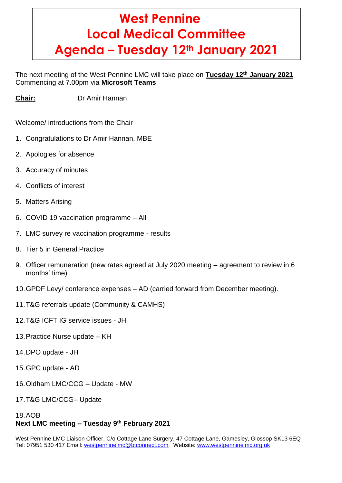# **West Pennine Local Medical Committee Agenda – Tuesday 12th January 2021**

The next meeting of the West Pennine LMC will take place on **Tuesday 12th January 2021** Commencing at 7.00pm via **Microsoft Teams**

**Chair:** Dr Amir Hannan

Welcome/ introductions from the Chair

- 1. Congratulations to Dr Amir Hannan, MBE
- 2. Apologies for absence
- 3. Accuracy of minutes
- 4. Conflicts of interest
- 5. Matters Arising
- 6. COVID 19 vaccination programme All
- 7. LMC survey re vaccination programme results
- 8. Tier 5 in General Practice
- 9. Officer remuneration (new rates agreed at July 2020 meeting agreement to review in 6 months' time)
- 10.GPDF Levy/ conference expenses AD (carried forward from December meeting).
- 11.T&G referrals update (Community & CAMHS)
- 12.T&G ICFT IG service issues JH
- 13.Practice Nurse update KH
- 14.DPO update JH
- 15.GPC update AD
- 16.Oldham LMC/CCG Update MW
- 17.T&G LMC/CCG– Update

# 18.AOB **Next LMC meeting – Tuesday 9 th February 2021**

West Pennine LMC Liaison Officer, C/o Cottage Lane Surgery, 47 Cottage Lane, Gamesley, Glossop SK13 6EQ Tel: 07951 530 417 Email: [westpenninelmc@btconnect.com](mailto:westpenninelmc@btconnect.com) Website: [www.westpenninelmc.org.uk](http://www.westpenninelmc.org.uk/)